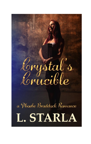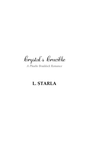Corystal's Corncible

*A Phoebe Braddock Romance*

# **L. STARLA**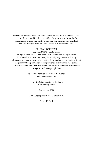Disclaimer: This is a work of fiction. Names, characters, businesses, places, events, locales, and incidents are either the products of the author's imagination or used in a fictitious manner. Any resemblance to actual persons, living or dead, or actual events is purely coincidental.

#### CRYSTAL'S CRUCIBLE

Copyright © 2021 Laelia Starla.

All rights reserved. No part of this publication may be reproduced, distributed, or transmitted in any form or by any means, including photocopying, recording, or other electronic or mechanical methods, without the prior written permission of the publisher, except in the case of brief quotations embodied in critical reviews and certain other non-commercial uses permitted by copyright law.

> To request permission, contact the author: laelia@starlaarts.com

Graphics & book design by L. Starla Editing by J. Wake

First edition 2021.

ISBN-13: (paperback) 978-0-6488424-9-1

Self-published.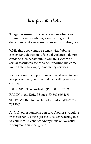# Note from the Author

**Trigger Warning:** This book contains situations where consent is dubious, along with graphic depictions of violence, sexual assault, and drug use.

While this book contains scenes with dubious consent and depictions of sexual violence, I do not condone such behaviour. If you are a victim of sexual assault, please consider reporting the crime immediately by ringing emergency services.

For post assault support, I recommend reaching out to a professional, confidential counselling service such as:

1800RESPECT in Australia (Ph 1800 737 732)

RAINN in the United States (Ph 800 656 4673)

SUPPORTLINE in the United Kingdom (Ph 01708 765 200)

And, if you or someone you care about is struggling with substance abuse, please consider reaching out to your local Alcoholics Anonymous or Narcotics Anonymous support group.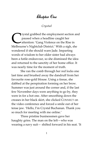### Chapter One

#### *Crystal*

**Tystal grabbed the employment section and** paused when a headline caught her attention: 'Gang Violence on the Rise in Tystal grabbed the employment section an<br>paused when a headline caught her<br>attention: 'Gang Violence on the Rise in<br>Melbourne's Nightclub District.' With a sigh, she wondered if she should warn Jade. Imparting words of wisdom to her older sister had always been a futile endeavour, so she dismissed the idea and returned to the sanctity of her home office. It was nearly time for the moment of truth.

She ran the comb through her red locks one last time and brushed away the dandruff from her favourite rose-gold blouse. Using a tissue, she dabbed at the perspiration forming on her brow. Summer was just around the corner and, if the last few November days were anything to go by, they were in for a hot one. After smoothing down the creases in her black skirt, she clicked CONNECT on the video conference and forced a smile out of her tense jaw. 'Hello, I'm Crystal Buchanan. Thank you so much for meeting with me online.'

Three pristine businessmen gave her haughty grins. The man on the left—who was wearing a navy suit— shifted forward in his seat. 'It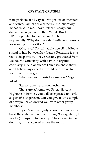### CRYSTAL'S CRUCIBLE

is no problem at all Crystal; we get lots of interstate applicants. I am Nigel Weatherby, the laboratory manager. With me, I have Peter Salisbury, our division manager, and Ethan Van de Brock from HR.' He pointed to the men next to him sequentially. 'Why don't we start with your reasons for wanting this position?'

'Of course.' Crystal caught herself twirling a strand of hair between her fingers. Releasing it, she took a deep breath. 'I have recently graduated from Melbourne University with a PhD in organic chemistry, a field of science I am passionate about, and I believe my expertise would be of value to your research program.'

'What was your thesis focussed on?' Nigel asked.

'Stereoisomer separation techniques.'

'That's great,' remarked Peter. 'Here, at Highgate Industries, you will be expected to work as part of a large team. Can you give us an example of how you have worked well with other group members?'

Crystal's mother, Judy, chose that moment to burst through the door, hiccupping. 'Crissy, darlll, I need a (hiccup) lift to the shop*.*' She swayed in the doorway and staggered across the room.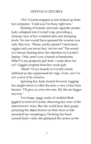### CRYSTAL'S CRUCIBLE

'No!' Crystal snapped as she looked up from her computer. 'I told you I'm busy right now.'

Reeking of brandy and stale cigarette smoke, Judy collapsed into Crystal's lap, providing a closeup view of her wrinkled skin and drooping jowls. No one would have guessed the woman was only fifty-two. 'Please, pretty please? I need more ciggies and you never buy 'em for me!' The sound of a throat clearing drew her attention to Crystal's laptop. 'Ooh, aren't you a bunch of handsome fellas? Is my gorgeous girl doin' a strip show for ya?' Giggles erupted from her crude gob.

'Mum!' Every muscle in Crystal's body stiffened as she suppressed her rage. *Great, now I've lost control of the situation.*

Ignoring her, Judy leaned forward, tugging her singlet down to offer the men a view of her bare breasts. 'I'll give ya a two-for-one. My tits are bigger anyway.'

Two large, saggy sacks of crinkled flesh jiggled in front of Crystal, obscuring her view of the interviewers' faces. But she could hear their gasps, picturing the abject horror on their faces as bile ascended her oesophagus. Ducking her head around Judy's side, she glimpsed the screen as the

3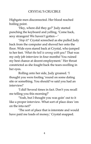Highgate men disconnected. Her blood reached boiling point.

'Hey, where did they go?' Judy started punching the keyboard and yelling, 'Come back, sexy strangers! We haven't gotten—'

'*Stop it!*' Crystal screeched as she pulled Judy back from the computer and shoved her onto the floor. Wide eyes stared back at Crystal, who jumped to her feet. '*What the hell is wrong with you?* That was my only job interview in four months! You ruined my best chance at decent employment.' Her throat constricted as she fought back the tears swelling in her eyes.

Rolling onto her side, Judy groaned. 'I thought you were fooling 'round on some dating site or something. You should've said you had an interview!'

'I did! Several times in fact. Don't you recall me telling you this morning?'

'Yeah, but I thought you was goin' out to it like a proper interview. What sort of place does 'em on the inta*-*net?'

'The sort of place that is interstate and would have paid me loads of money,' Crystal snapped.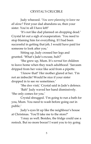Judy wheezed. '*You were planning to leave me all alone?* First your dad abandons us, then your sister. You're all I have left!'

'It's not like dad planned on dropping dead.' Crystal let out a sigh of exasperation. 'You need to stop blaming him for everything. If I had been successful in getting that job, I would have paid for someone to look after you.'

Sitting up, Judy crossed her legs and grunted. 'What's Jade's excuse, huh?'

'She grew up, Mum. It's *normal* for children to leave home when they reach adulthood.' Sarcasm dripped from her voice like acid from a pipette.

'I know that!' Her mother glared at her. 'I'm not an imbecile! Would be nice if your sister dropped in to see *me* sometimes.'

'She *does* visit,' Crystal said in Jade's defence.

'Bah!' Judy waved her hand dismissively. 'She only comes for you.'

Crystal shrugged. 'I'm going to run a bath for you, Mum. You need to wash before going out in public.'

Judy's eyes lit up like the neighbour's house at Christmas. 'You'll take me to the store?'

'I may as well. Besides, the fridge could use a restock. But no more booze! I want you to try going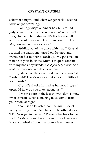sober for a night. And when we get back, I need to focus on job searching.'

Pouting, wisps of ginger hair fell around Judy's face as she rose. 'You're no fun! Why don't we go to the pub for dinner? It's Friday after all, and you could use a night off from your dull life. Maybe even hook up for once.'

Striding out of the office with a huff, Crystal reached the bathroom, turned on the taps, and waited for her mother to catch up. 'My personal life is none of your business, Mum. I'm quite content with my book boyfriends, *thank you very much*.' She spat the response in a defensive tone.

Judy sat on the closed toilet seat and snorted. 'Yeah, right! There's no way that vibrator fulfills all your needs.'

Crystal's cheeks flushed as her mouth gaped open. 'H-how do you know about *that*?'

'I wasn't born in the last shower, darl. I know what it means when a buzzing noise comes from your room at night.'

'Well, it's a lot safer than the multitude of men you bring home. No chance of heartbreak or an S.T.I. Now get in the bath.' Pressing her back to the wall, Crystal crossed her arms and closed her eyes. Water splashed all over the room a few minutes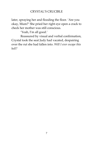### CRYSTAL'S CRUCIBLE

later, spraying her and flooding the floor. 'Are you okay, Mum?' She pried her right eye open a crack to check her mother was still conscious.

'Yeah, I'm all good.'

Reassured by visual and verbal confirmation, Crystal took the seat Judy had vacated, despairing over the rut she had fallen into. *Will I ever escape this hell?*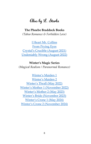## Also by L. Starla

### **The Phoebe Braddock Books**

*(Taboo Romance & Forbidden Love)*

[I Heart Mr. Collins](https://books2read.com/u/mdnBVZ) [From Prying Eyes](https://books2read.com/u/47l9e7) [Crystal's Crucible \(August 2021\)](https://books2read.com/u/bPXPkJ) [Undeniably Wrong \(August 2022\)](https://www.goodreads.com/book/show/57483348-undeniably-wrong)

#### **Winter's Magic Series**

*(Magical Realism / Paranormal Romance)*

[Winter's Maiden 1](https://books2read.com/u/3LY7k0) [Winter's Maiden 2](https://books2read.com/u/m2Mw0r) [Winter's Thrall \(May 2022\)](https://www.goodreads.com/book/show/55473708-winter-s-thrall) [Winter's Mother 1 \(November 2022\)](https://www.goodreads.com/book/show/55658025-winter-s-mother-1) [Winter's Mother 2 \(May 2023\)](https://www.goodreads.com/book/show/55809439-winter-s-mother-2) [Winter's Bride \(November 2023\)](https://www.goodreads.com/book/show/55817503-winter-s-bride) [Winter's Crone 1 \(May 2024\)](https://www.goodreads.com/book/show/55817639-winter-s-crone-1) Wi[nter's Crone 2 \(November 2024\)](https://www.goodreads.com/book/show/55817641-winter-s-crone-2)